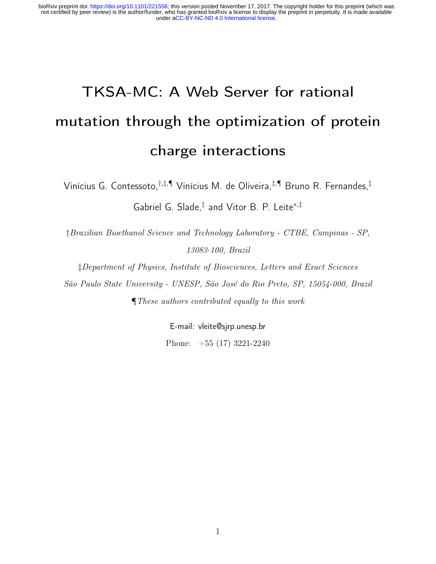# TKSA-MC: A Web Server for rational mutation through the optimization of protein charge interactions

Vinícius G. Contessoto,†,‡,¶ Vinícius M. de Oliveira,‡,¶ Bruno R. Fernandes,‡ Gabriel G. Slade,‡ and Vitor B. P. Leite<sup>∗</sup>,‡

†Brazilian Bioethanol Science and Technology Laboratory - CTBE, Campinas - SP, 13083-100, Brazil

‡Department of Physics, Institute of Biosciences, Letters and Exact Sciences São Paulo State University - UNESP, São José do Rio Preto, SP, 15054-000, Brazil ¶These authors contributed equally to this work

> E-mail: vleite@sjrp.unesp.br Phone: +55 (17) 3221-2240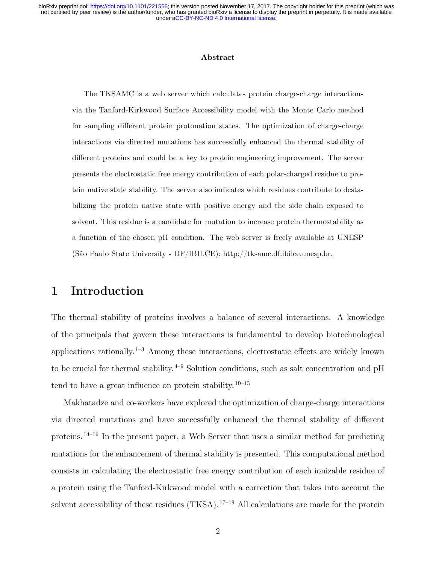#### Abstract

The TKSAMC is a web server which calculates protein charge-charge interactions via the Tanford-Kirkwood Surface Accessibility model with the Monte Carlo method for sampling different protein protonation states. The optimization of charge-charge interactions via directed mutations has successfully enhanced the thermal stability of different proteins and could be a key to protein engineering improvement. The server presents the electrostatic free energy contribution of each polar-charged residue to protein native state stability. The server also indicates which residues contribute to destabilizing the protein native state with positive energy and the side chain exposed to solvent. This residue is a candidate for mutation to increase protein thermostability as a function of the chosen pH condition. The web server is freely available at UNESP (São Paulo State University - DF/IBILCE): http://tksamc.df.ibilce.unesp.br.

## 1 Introduction

The thermal stability of proteins involves a balance of several interactions. A knowledge of the principals that govern these interactions is fundamental to develop biotechnological applications rationally.  $1-3$  Among these interactions, electrostatic effects are widely known to be crucial for thermal stability.<sup> $4-9$ </sup> Solution conditions, such as salt concentration and pH tend to have a great influence on protein stability.  $10^{-13}$ 

Makhatadze and co-workers have explored the optimization of charge-charge interactions via directed mutations and have successfully enhanced the thermal stability of different proteins. 14–16 In the present paper, a Web Server that uses a similar method for predicting mutations for the enhancement of thermal stability is presented. This computational method consists in calculating the electrostatic free energy contribution of each ionizable residue of a protein using the Tanford-Kirkwood model with a correction that takes into account the solvent accessibility of these residues  $(TKSA)$ .  $^{17-19}$  All calculations are made for the protein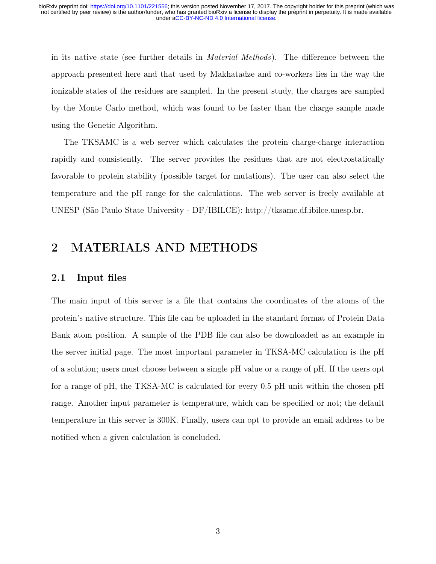in its native state (see further details in Material Methods). The difference between the approach presented here and that used by Makhatadze and co-workers lies in the way the ionizable states of the residues are sampled. In the present study, the charges are sampled by the Monte Carlo method, which was found to be faster than the charge sample made using the Genetic Algorithm.

The TKSAMC is a web server which calculates the protein charge-charge interaction rapidly and consistently. The server provides the residues that are not electrostatically favorable to protein stability (possible target for mutations). The user can also select the temperature and the pH range for the calculations. The web server is freely available at UNESP (São Paulo State University - DF/IBILCE): http://tksamc.df.ibilce.unesp.br.

## 2 MATERIALS AND METHODS

#### 2.1 Input files

The main input of this server is a file that contains the coordinates of the atoms of the protein's native structure. This file can be uploaded in the standard format of Protein Data Bank atom position. A sample of the PDB file can also be downloaded as an example in the server initial page. The most important parameter in TKSA-MC calculation is the pH of a solution; users must choose between a single pH value or a range of pH. If the users opt for a range of pH, the TKSA-MC is calculated for every 0.5 pH unit within the chosen pH range. Another input parameter is temperature, which can be specified or not; the default temperature in this server is 300K. Finally, users can opt to provide an email address to be notified when a given calculation is concluded.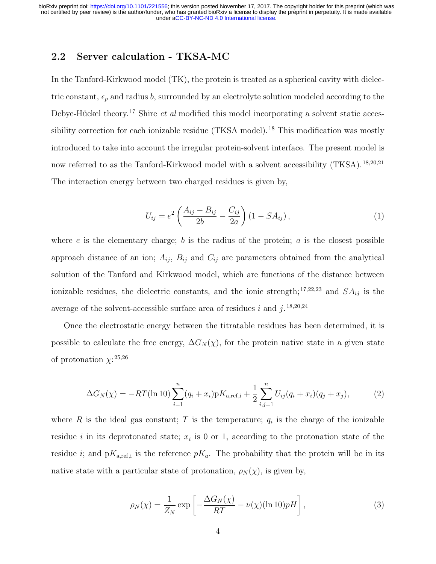#### 2.2 Server calculation - TKSA-MC

In the Tanford-Kirkwood model (TK), the protein is treated as a spherical cavity with dielectric constant,  $\epsilon_p$  and radius b, surrounded by an electrolyte solution modeled according to the Debye-Hückel theory.<sup>17</sup> Shire  $et$  al modified this model incorporating a solvent static accessibility correction for each ionizable residue (TKSA model).<sup>18</sup> This modification was mostly introduced to take into account the irregular protein-solvent interface. The present model is now referred to as the Tanford-Kirkwood model with a solvent accessibility (TKSA). <sup>18,20,21</sup> The interaction energy between two charged residues is given by,

$$
U_{ij} = e^2 \left( \frac{A_{ij} - B_{ij}}{2b} - \frac{C_{ij}}{2a} \right) (1 - SA_{ij}),
$$
 (1)

where  $e$  is the elementary charge;  $b$  is the radius of the protein;  $a$  is the closest possible approach distance of an ion;  $A_{ij}$ ,  $B_{ij}$  and  $C_{ij}$  are parameters obtained from the analytical solution of the Tanford and Kirkwood model, which are functions of the distance between ionizable residues, the dielectric constants, and the ionic strength;  $^{17,22,23}$  and  $SA_{ij}$  is the average of the solvent-accessible surface area of residues i and  $j$ . <sup>18,20,24</sup>

Once the electrostatic energy between the titratable residues has been determined, it is possible to calculate the free energy,  $\Delta G_N(\chi)$ , for the protein native state in a given state of protonation  $\chi$ <sup>25,26</sup>

$$
\Delta G_N(\chi) = -RT(\ln 10) \sum_{i=1}^n (q_i + x_i) p K_{\text{a,ref,i}} + \frac{1}{2} \sum_{i,j=1}^n U_{ij} (q_i + x_i) (q_j + x_j), \tag{2}
$$

where R is the ideal gas constant; T is the temperature;  $q_i$  is the charge of the ionizable residue i in its deprotonated state;  $x_i$  is 0 or 1, according to the protonation state of the residue *i*; and  $pK_{a,ref,i}$  is the reference  $pK_a$ . The probability that the protein will be in its native state with a particular state of protonation,  $\rho_N(\chi)$ , is given by,

$$
\rho_N(\chi) = \frac{1}{Z_N} \exp\left[ -\frac{\Delta G_N(\chi)}{RT} - \nu(\chi)(\ln 10)pH \right],\tag{3}
$$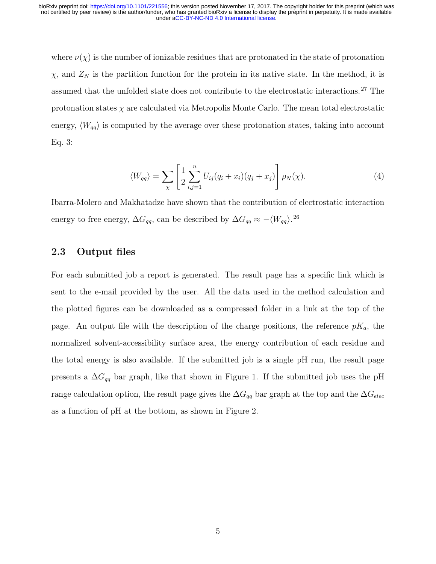where  $\nu(\chi)$  is the number of ionizable residues that are protonated in the state of protonation  $\chi$ , and  $Z_N$  is the partition function for the protein in its native state. In the method, it is assumed that the unfolded state does not contribute to the electrostatic interactions. <sup>27</sup> The protonation states  $\chi$  are calculated via Metropolis Monte Carlo. The mean total electrostatic energy,  $\langle W_{qq} \rangle$  is computed by the average over these protonation states, taking into account Eq. 3:

$$
\langle W_{qq} \rangle = \sum_{\chi} \left[ \frac{1}{2} \sum_{i,j=1}^{n} U_{ij} (q_i + x_i)(q_j + x_j) \right] \rho_N(\chi). \tag{4}
$$

Ibarra-Molero and Makhatadze have shown that the contribution of electrostatic interaction energy to free energy,  $\Delta G_{qq}$ , can be described by  $\Delta G_{qq} \approx -\langle W_{qq} \rangle^{26}$ .

#### 2.3 Output files

For each submitted job a report is generated. The result page has a specific link which is sent to the e-mail provided by the user. All the data used in the method calculation and the plotted figures can be downloaded as a compressed folder in a link at the top of the page. An output file with the description of the charge positions, the reference  $pK_a$ , the normalized solvent-accessibility surface area, the energy contribution of each residue and the total energy is also available. If the submitted job is a single pH run, the result page presents a  $\Delta G_{qq}$  bar graph, like that shown in Figure 1. If the submitted job uses the pH range calculation option, the result page gives the  $\Delta G_{qq}$  bar graph at the top and the  $\Delta G_{elec}$ as a function of pH at the bottom, as shown in Figure 2.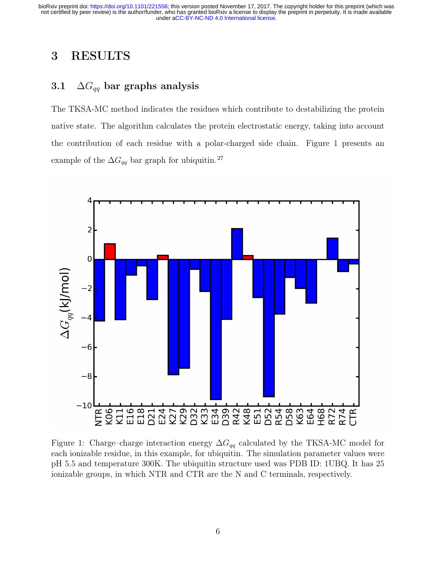## 3 RESULTS

#### 3.1  $\Delta G_{qq}$  bar graphs analysis

The TKSA-MC method indicates the residues which contribute to destabilizing the protein native state. The algorithm calculates the protein electrostatic energy, taking into account the contribution of each residue with a polar-charged side chain. Figure 1 presents an example of the  $\Delta G_{qq}$  bar graph for ubiquitin.<sup>27</sup>



Figure 1: Charge–charge interaction energy  $\Delta G_{qq}$  calculated by the TKSA-MC model for each ionizable residue, in this example, for ubiquitin. The simulation parameter values were pH 5.5 and temperature 300K. The ubiquitin structure used was PDB ID: 1UBQ. It has 25 ionizable groups, in which NTR and CTR are the N and C terminals, respectively.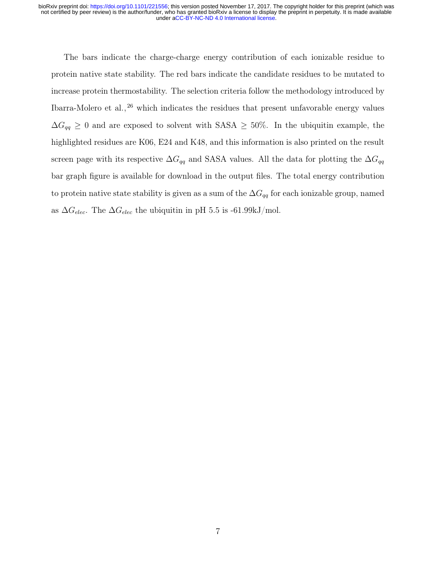The bars indicate the charge-charge energy contribution of each ionizable residue to protein native state stability. The red bars indicate the candidate residues to be mutated to increase protein thermostability. The selection criteria follow the methodology introduced by Ibarra-Molero et al., <sup>26</sup> which indicates the residues that present unfavorable energy values  $\Delta G_{qq} \geq 0$  and are exposed to solvent with SASA  $\geq$  50%. In the ubiquitin example, the highlighted residues are K06, E24 and K48, and this information is also printed on the result screen page with its respective  $\Delta G_{qq}$  and SASA values. All the data for plotting the  $\Delta G_{qq}$ bar graph figure is available for download in the output files. The total energy contribution to protein native state stability is given as a sum of the  $\Delta G_{qq}$  for each ionizable group, named as  $\Delta G_{elec}$ . The  $\Delta G_{elec}$  the ubiquitin in pH 5.5 is -61.99kJ/mol.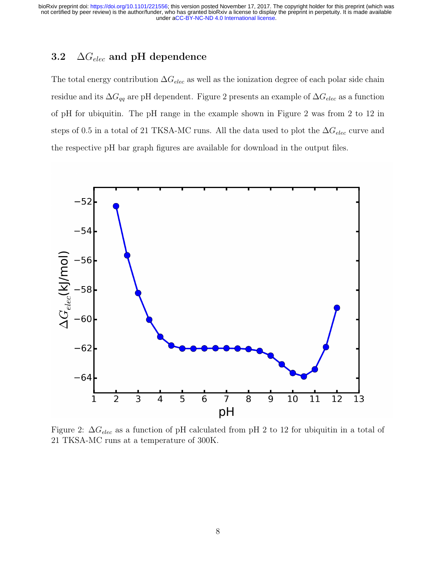### 3.2  $\Delta G_{elec}$  and pH dependence

The total energy contribution  $\Delta G_{elec}$  as well as the ionization degree of each polar side chain residue and its  $\Delta G_{qq}$  are pH dependent. Figure 2 presents an example of  $\Delta G_{elec}$  as a function of pH for ubiquitin. The pH range in the example shown in Figure 2 was from 2 to 12 in steps of 0.5 in a total of 21 TKSA-MC runs. All the data used to plot the  $\Delta G_{elec}$  curve and the respective pH bar graph figures are available for download in the output files.



Figure 2:  $\Delta G_{elec}$  as a function of pH calculated from pH 2 to 12 for ubiquitin in a total of 21 TKSA-MC runs at a temperature of 300K.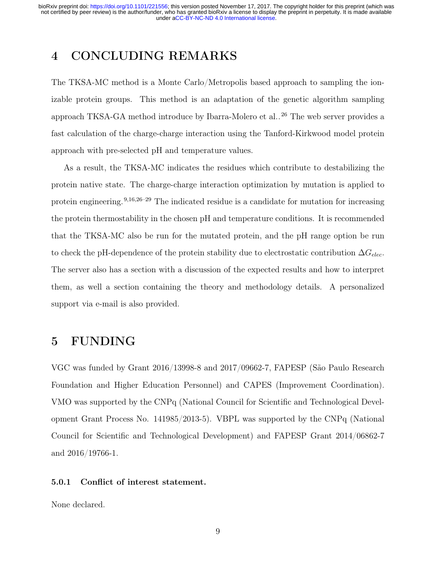## 4 CONCLUDING REMARKS

The TKSA-MC method is a Monte Carlo/Metropolis based approach to sampling the ionizable protein groups. This method is an adaptation of the genetic algorithm sampling approach TKSA-GA method introduce by Ibarra-Molero et al.. <sup>26</sup> The web server provides a fast calculation of the charge-charge interaction using the Tanford-Kirkwood model protein approach with pre-selected pH and temperature values.

As a result, the TKSA-MC indicates the residues which contribute to destabilizing the protein native state. The charge-charge interaction optimization by mutation is applied to protein engineering. 9,16,26–29 The indicated residue is a candidate for mutation for increasing the protein thermostability in the chosen pH and temperature conditions. It is recommended that the TKSA-MC also be run for the mutated protein, and the pH range option be run to check the pH-dependence of the protein stability due to electrostatic contribution  $\Delta G_{elec}$ . The server also has a section with a discussion of the expected results and how to interpret them, as well a section containing the theory and methodology details. A personalized support via e-mail is also provided.

## 5 FUNDING

VGC was funded by Grant 2016/13998-8 and 2017/09662-7, FAPESP (São Paulo Research Foundation and Higher Education Personnel) and CAPES (Improvement Coordination). VMO was supported by the CNPq (National Council for Scientific and Technological Development Grant Process No. 141985/2013-5). VBPL was supported by the CNPq (National Council for Scientific and Technological Development) and FAPESP Grant 2014/06862-7 and 2016/19766-1.

#### 5.0.1 Conflict of interest statement.

None declared.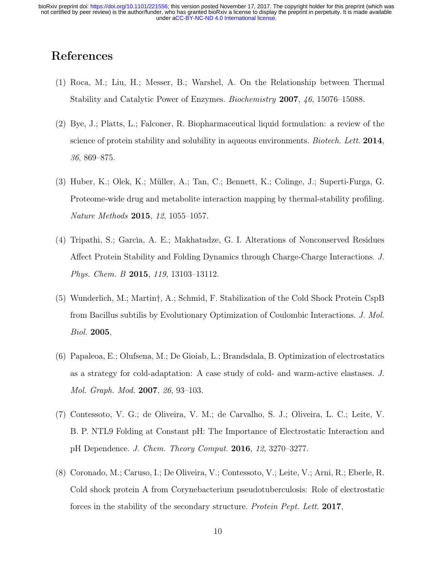## References

- (1) Roca, M.; Liu, H.; Messer, B.; Warshel, A. On the Relationship between Thermal Stability and Catalytic Power of Enzymes. Biochemistry 2007, 46, 15076–15088.
- (2) Bye, J.; Platts, L.; Falconer, R. Biopharmaceutical liquid formulation: a review of the science of protein stability and solubility in aqueous environments. *Biotech. Lett.* 2014, 36, 869–875.
- (3) Huber, K.; Olek, K.; Müller, A.; Tan, C.; Bennett, K.; Colinge, J.; Superti-Furga, G. Proteome-wide drug and metabolite interaction mapping by thermal-stability profiling. Nature Methods 2015, 12, 1055–1057.
- (4) Tripathi, S.; Garcìa, A. E.; Makhatadze, G. I. Alterations of Nonconserved Residues Affect Protein Stability and Folding Dynamics through Charge-Charge Interactions. J. Phys. Chem. B 2015, 119, 13103–13112.
- (5) Wunderlich, M.; Martin†, A.; Schmid, F. Stabilization of the Cold Shock Protein CspB from Bacillus subtilis by Evolutionary Optimization of Coulombic Interactions. J. Mol. Biol. 2005,
- (6) Papaleoa, E.; Olufsena, M.; De Gioiab, L.; Brandsdala, B. Optimization of electrostatics as a strategy for cold-adaptation: A case study of cold- and warm-active elastases. J. Mol. Graph. Mod. 2007, 26, 93–103.
- (7) Contessoto, V. G.; de Oliveira, V. M.; de Carvalho, S. J.; Oliveira, L. C.; Leite, V. B. P. NTL9 Folding at Constant pH: The Importance of Electrostatic Interaction and pH Dependence. J. Chem. Theory Comput. 2016, 12, 3270–3277.
- (8) Coronado, M.; Caruso, I.; De Oliveira, V.; Contessoto, V.; Leite, V.; Arni, R.; Eberle, R. Cold shock protein A from Corynebacterium pseudotuberculosis: Role of electrostatic forces in the stability of the secondary structure. Protein Pept. Lett. 2017,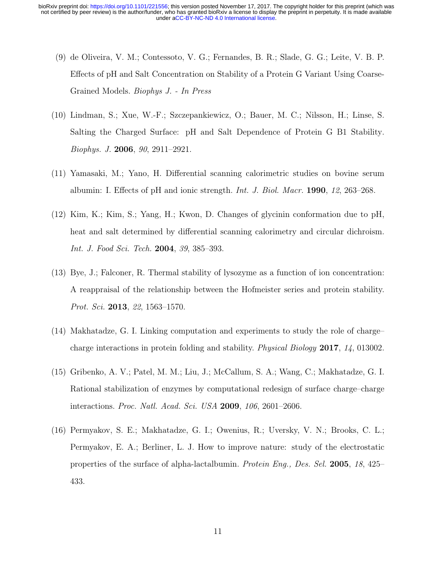- (9) de Oliveira, V. M.; Contessoto, V. G.; Fernandes, B. R.; Slade, G. G.; Leite, V. B. P. Effects of pH and Salt Concentration on Stability of a Protein G Variant Using Coarse-Grained Models. Biophys J. - In Press
- (10) Lindman, S.; Xue, W.-F.; Szczepankiewicz, O.; Bauer, M. C.; Nilsson, H.; Linse, S. Salting the Charged Surface: pH and Salt Dependence of Protein G B1 Stability. Biophys. J. 2006, 90, 2911–2921.
- (11) Yamasaki, M.; Yano, H. Differential scanning calorimetric studies on bovine serum albumin: I. Effects of pH and ionic strength. Int. J. Biol. Macr. 1990, 12, 263–268.
- (12) Kim, K.; Kim, S.; Yang, H.; Kwon, D. Changes of glycinin conformation due to pH, heat and salt determined by differential scanning calorimetry and circular dichroism. Int. J. Food Sci. Tech. 2004, 39, 385–393.
- (13) Bye, J.; Falconer, R. Thermal stability of lysozyme as a function of ion concentration: A reappraisal of the relationship between the Hofmeister series and protein stability. Prot. Sci. 2013, 22, 1563–1570.
- (14) Makhatadze, G. I. Linking computation and experiments to study the role of charge– charge interactions in protein folding and stability. Physical Biology 2017, 14, 013002.
- (15) Gribenko, A. V.; Patel, M. M.; Liu, J.; McCallum, S. A.; Wang, C.; Makhatadze, G. I. Rational stabilization of enzymes by computational redesign of surface charge–charge interactions. Proc. Natl. Acad. Sci. USA 2009, 106, 2601–2606.
- (16) Permyakov, S. E.; Makhatadze, G. I.; Owenius, R.; Uversky, V. N.; Brooks, C. L.; Permyakov, E. A.; Berliner, L. J. How to improve nature: study of the electrostatic properties of the surface of alpha-lactalbumin. Protein Eng., Des. Sel. 2005, 18, 425– 433.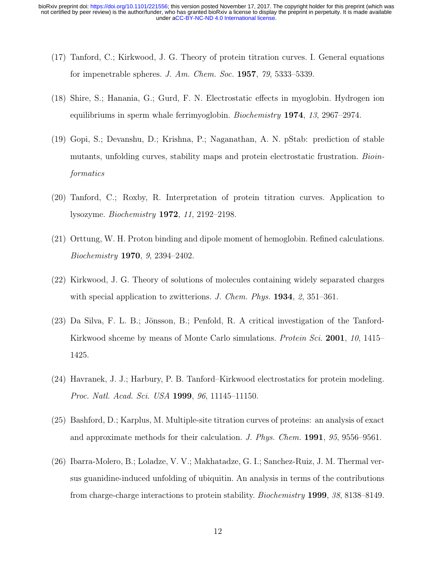- (17) Tanford, C.; Kirkwood, J. G. Theory of protein titration curves. I. General equations for impenetrable spheres. J. Am. Chem. Soc. 1957, 79, 5333–5339.
- (18) Shire, S.; Hanania, G.; Gurd, F. N. Electrostatic effects in myoglobin. Hydrogen ion equilibriums in sperm whale ferrimyoglobin. Biochemistry 1974, 13, 2967–2974.
- (19) Gopi, S.; Devanshu, D.; Krishna, P.; Naganathan, A. N. pStab: prediction of stable mutants, unfolding curves, stability maps and protein electrostatic frustration. Bioinformatics
- (20) Tanford, C.; Roxby, R. Interpretation of protein titration curves. Application to lysozyme. Biochemistry 1972, 11, 2192–2198.
- (21) Orttung, W. H. Proton binding and dipole moment of hemoglobin. Refined calculations. Biochemistry 1970, 9, 2394–2402.
- (22) Kirkwood, J. G. Theory of solutions of molecules containing widely separated charges with special application to zwitterions. J. Chem. Phys. **1934**, 2, 351–361.
- (23) Da Silva, F. L. B.; Jönsson, B.; Penfold, R. A critical investigation of the Tanford-Kirkwood shceme by means of Monte Carlo simulations. *Protein Sci.* 2001, 10, 1415– 1425.
- (24) Havranek, J. J.; Harbury, P. B. Tanford–Kirkwood electrostatics for protein modeling. Proc. Natl. Acad. Sci. USA 1999, 96, 11145–11150.
- (25) Bashford, D.; Karplus, M. Multiple-site titration curves of proteins: an analysis of exact and approximate methods for their calculation. J. Phys. Chem. 1991, 95, 9556–9561.
- (26) Ibarra-Molero, B.; Loladze, V. V.; Makhatadze, G. I.; Sanchez-Ruiz, J. M. Thermal versus guanidine-induced unfolding of ubiquitin. An analysis in terms of the contributions from charge-charge interactions to protein stability. Biochemistry 1999, 38, 8138–8149.